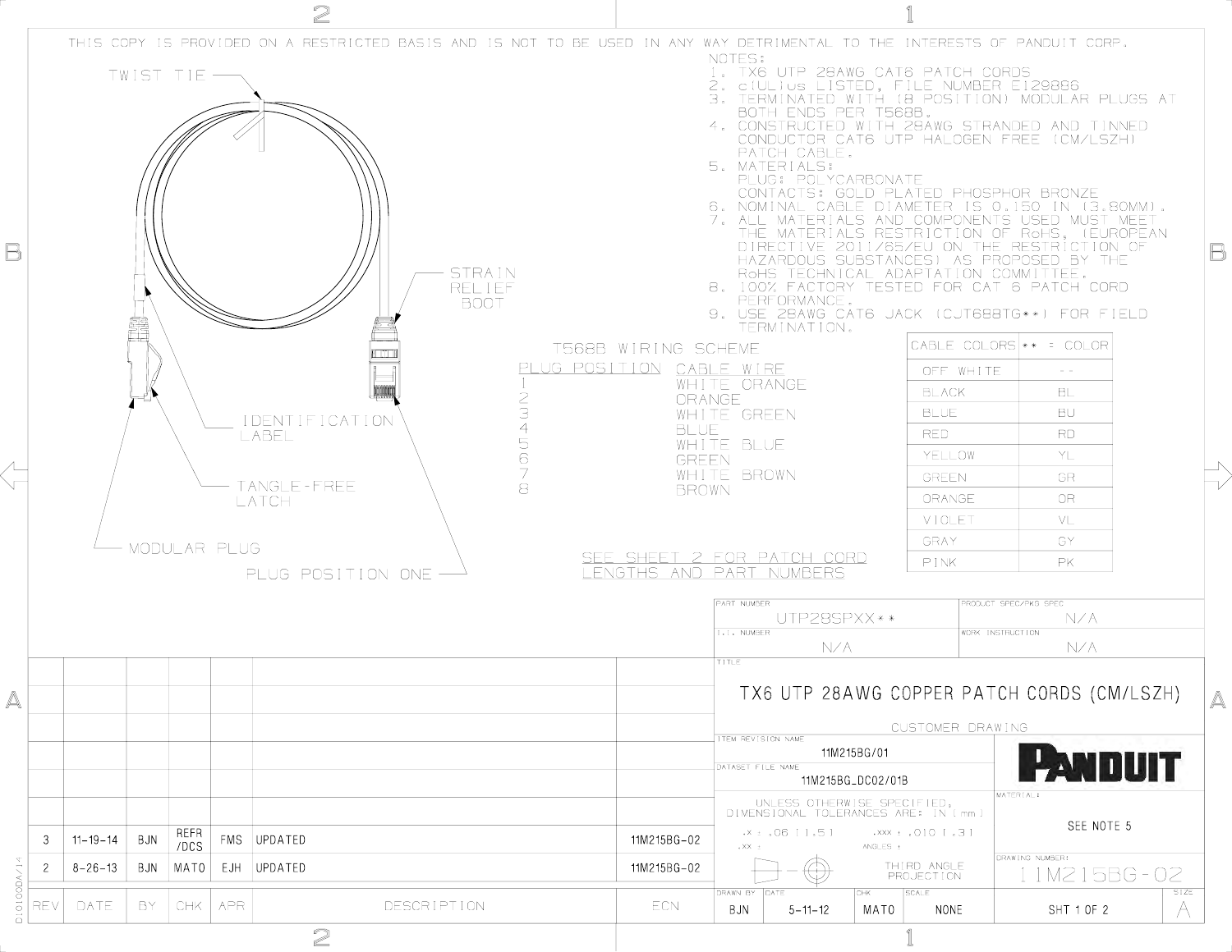